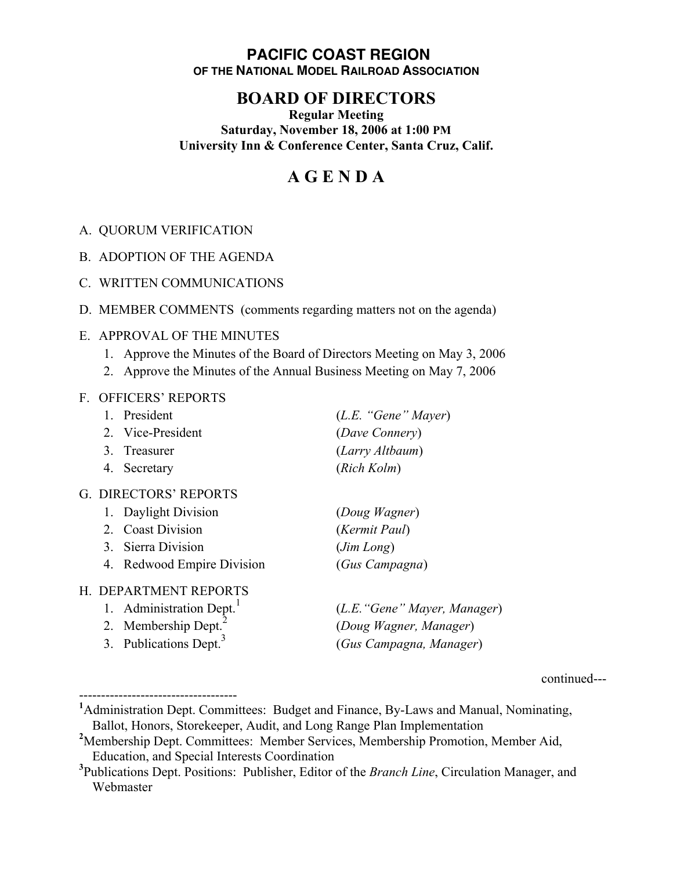### **PACIFIC COAST REGION OF THE NATIONAL MODEL RAILROAD ASSOCIATION**

## **BOARD OF DIRECTORS**

**Regular Meeting Saturday, November 18, 2006 at 1:00 PM University Inn & Conference Center, Santa Cruz, Calif.**

# **A G E N D A**

- A. QUORUM VERIFICATION
- B. ADOPTION OF THE AGENDA
- C. WRITTEN COMMUNICATIONS
- D. MEMBER COMMENTS (comments regarding matters not on the agenda)

#### E. APPROVAL OF THE MINUTES

- 1. Approve the Minutes of the Board of Directors Meeting on May 3, 2006
- 2. Approve the Minutes of the Annual Business Meeting on May 7, 2006

#### F. OFFICERS' REPORTS

------------------------------------

| 1. President                       | (L.E. "Gene" Mayer)          |
|------------------------------------|------------------------------|
| 2. Vice-President                  | (Dave Connery)               |
| 3. Treasurer                       | (Larry Altbaum)              |
| Secretary<br>4.                    | (Rich Kolm)                  |
| G. DIRECTORS' REPORTS              |                              |
| 1. Daylight Division               | (Doug Wagner)                |
| 2. Coast Division                  | (Kermit Paul)                |
| 3. Sierra Division                 | (Jim Long)                   |
| 4. Redwood Empire Division         | (Gus Campagna)               |
| H. DEPARTMENT REPORTS              |                              |
| 1. Administration Dept.            | (L.E. "Gene" Mayer, Manager) |
| 2. Membership Dept.                | (Doug Wagner, Manager)       |
| 3. Publications Dept. <sup>3</sup> | (Gus Campagna, Manager)      |
|                                    |                              |

continued---

<sup>&</sup>lt;sup>1</sup>Administration Dept. Committees: Budget and Finance, By-Laws and Manual, Nominating, Ballot, Honors, Storekeeper, Audit, and Long Range Plan Implementation

<sup>&</sup>lt;sup>2</sup>Membership Dept. Committees: Member Services, Membership Promotion, Member Aid, Education, and Special Interests Coordination

**<sup>3</sup>** Publications Dept. Positions: Publisher, Editor of the *Branch Line*, Circulation Manager, and Webmaster